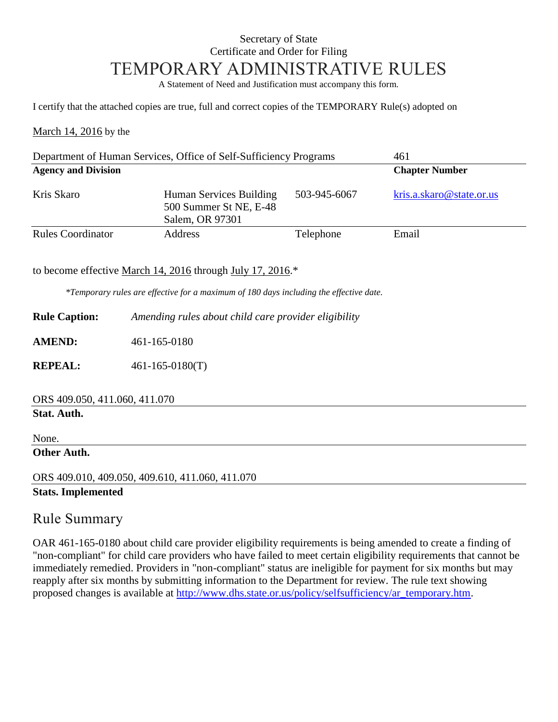### Secretary of State Certificate and Order for Filing TEMPORARY ADMINISTRATIVE RULES

A Statement of Need and Justification must accompany this form.

I certify that the attached copies are true, full and correct copies of the TEMPORARY Rule(s) adopted on

March 14, 2016 by the

| Department of Human Services, Office of Self-Sufficiency Programs |                                                                      |              | 461                      |  |  |
|-------------------------------------------------------------------|----------------------------------------------------------------------|--------------|--------------------------|--|--|
| <b>Agency and Division</b>                                        |                                                                      |              | <b>Chapter Number</b>    |  |  |
| Kris Skaro                                                        | Human Services Building<br>500 Summer St NE, E-48<br>Salem, OR 97301 | 503-945-6067 | kris.a.skaro@state.or.us |  |  |
| <b>Rules Coordinator</b>                                          | Address                                                              | Telephone    | Email                    |  |  |

to become effective March 14, 2016 through July 17, 2016.\*

*\*Temporary rules are effective for a maximum of 180 days including the effective date.*

**Rule Caption:** *Amending rules about child care provider eligibility*

**AMEND:** 461-165-0180

**REPEAL:**  $461-165-0180(T)$ 

**Stat. Auth.**

None.

#### **Other Auth.**

ORS 409.010, 409.050, 409.610, 411.060, 411.070 **Stats. Implemented**

#### Rule Summary

OAR 461-165-0180 about child care provider eligibility requirements is being amended to create a finding of "non-compliant" for child care providers who have failed to meet certain eligibility requirements that cannot be immediately remedied. Providers in "non-compliant" status are ineligible for payment for six months but may reapply after six months by submitting information to the Department for review. The rule text showing proposed changes is available at http://www.dhs.state.or.us/policy/selfsufficiency/ar\_temporary.htm.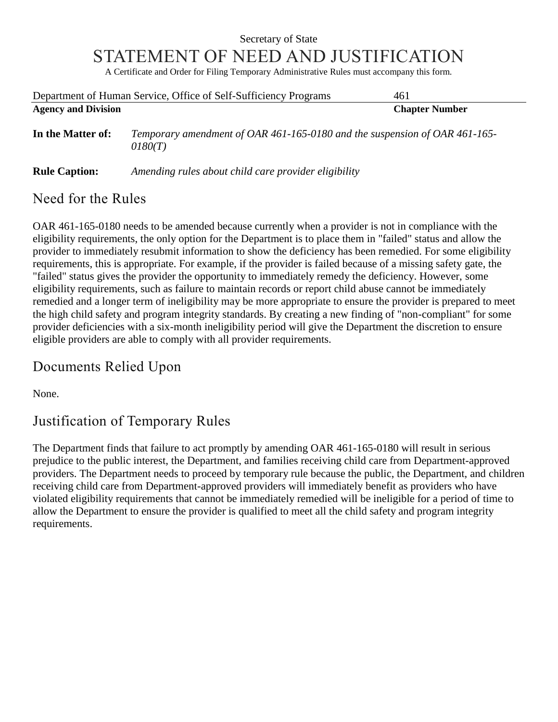# Secretary of State STATEMENT OF NEED AND JUSTIFICATION

A Certificate and Order for Filing Temporary Administrative Rules must accompany this form.

| Department of Human Service, Office of Self-Sufficiency Programs |                                                                                       | 461                   |  |
|------------------------------------------------------------------|---------------------------------------------------------------------------------------|-----------------------|--|
| <b>Agency and Division</b>                                       |                                                                                       | <b>Chapter Number</b> |  |
| In the Matter of:                                                | Temporary amendment of OAR 461-165-0180 and the suspension of OAR 461-165-<br>0180(T) |                       |  |
| <b>Rule Caption:</b>                                             | Amending rules about child care provider eligibility                                  |                       |  |

### Need for the Rules

OAR 461-165-0180 needs to be amended because currently when a provider is not in compliance with the eligibility requirements, the only option for the Department is to place them in "failed" status and allow the provider to immediately resubmit information to show the deficiency has been remedied. For some eligibility requirements, this is appropriate. For example, if the provider is failed because of a missing safety gate, the "failed" status gives the provider the opportunity to immediately remedy the deficiency. However, some eligibility requirements, such as failure to maintain records or report child abuse cannot be immediately remedied and a longer term of ineligibility may be more appropriate to ensure the provider is prepared to meet the high child safety and program integrity standards. By creating a new finding of "non-compliant" for some provider deficiencies with a six-month ineligibility period will give the Department the discretion to ensure eligible providers are able to comply with all provider requirements.

# Documents Relied Upon

None.

# Justification of Temporary Rules

The Department finds that failure to act promptly by amending OAR 461-165-0180 will result in serious prejudice to the public interest, the Department, and families receiving child care from Department-approved providers. The Department needs to proceed by temporary rule because the public, the Department, and children receiving child care from Department-approved providers will immediately benefit as providers who have violated eligibility requirements that cannot be immediately remedied will be ineligible for a period of time to allow the Department to ensure the provider is qualified to meet all the child safety and program integrity requirements.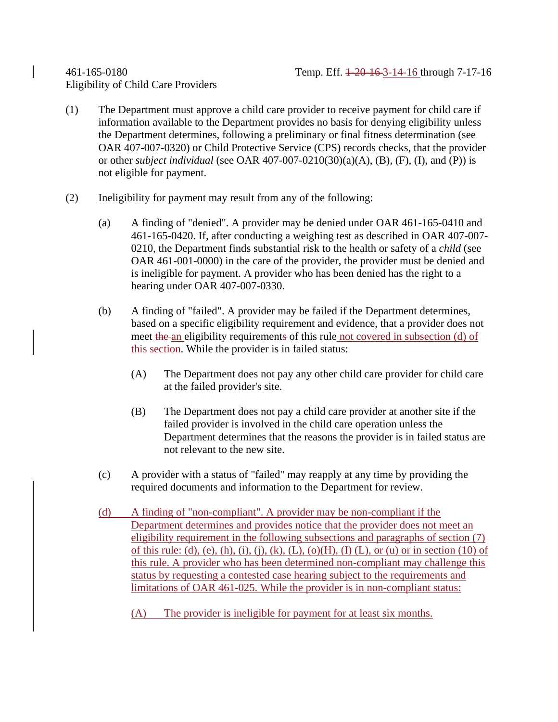# Eligibility of Child Care Providers

- (1) The Department must approve a child care provider to receive payment for child care if information available to the Department provides no basis for denying eligibility unless the Department determines, following a preliminary or final fitness determination (see OAR 407-007-0320) or Child Protective Service (CPS) records checks, that the provider or other *subject individual* (see OAR 407-007-0210(30)(a)(A), (B), (F), (I), and (P)) is not eligible for payment.
- (2) Ineligibility for payment may result from any of the following:
	- (a) A finding of "denied". A provider may be denied under OAR 461-165-0410 and 461-165-0420. If, after conducting a weighing test as described in OAR 407-007- 0210, the Department finds substantial risk to the health or safety of a *child* (see OAR 461-001-0000) in the care of the provider, the provider must be denied and is ineligible for payment. A provider who has been denied has the right to a hearing under OAR 407-007-0330.
	- (b) A finding of "failed". A provider may be failed if the Department determines, based on a specific eligibility requirement and evidence, that a provider does not meet the an eligibility requirements of this rule not covered in subsection (d) of this section. While the provider is in failed status:
		- (A) The Department does not pay any other child care provider for child care at the failed provider's site.
		- (B) The Department does not pay a child care provider at another site if the failed provider is involved in the child care operation unless the Department determines that the reasons the provider is in failed status are not relevant to the new site.
	- (c) A provider with a status of "failed" may reapply at any time by providing the required documents and information to the Department for review.
	- (d) A finding of "non-compliant". A provider may be non-compliant if the Department determines and provides notice that the provider does not meet an eligibility requirement in the following subsections and paragraphs of section (7) of this rule: (d), (e), (h), (i), (j), (k), (L), (o)(H), (I) (L), or (u) or in section (10) of this rule. A provider who has been determined non-compliant may challenge this status by requesting a contested case hearing subject to the requirements and limitations of OAR 461-025. While the provider is in non-compliant status:
		- (A) The provider is ineligible for payment for at least six months.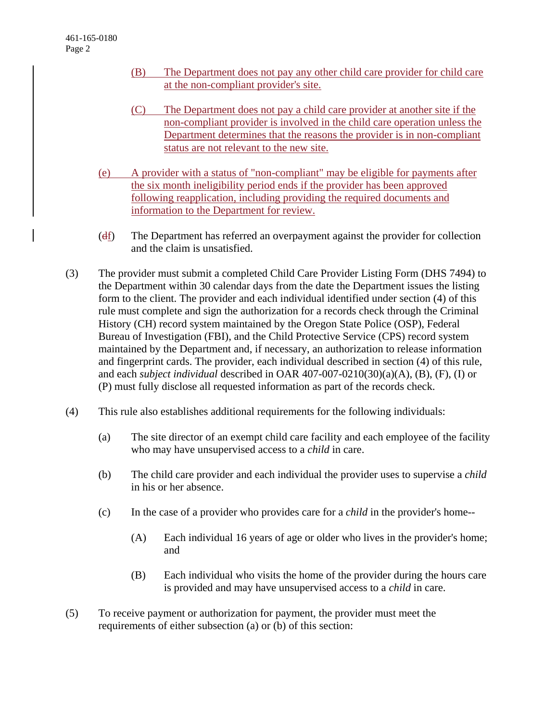- (B) The Department does not pay any other child care provider for child care at the non-compliant provider's site.
- (C) The Department does not pay a child care provider at another site if the non-compliant provider is involved in the child care operation unless the Department determines that the reasons the provider is in non-compliant status are not relevant to the new site.
- (e) A provider with a status of "non-compliant" may be eligible for payments after the six month ineligibility period ends if the provider has been approved following reapplication, including providing the required documents and information to the Department for review.
- $(d_1)$  The Department has referred an overpayment against the provider for collection and the claim is unsatisfied.
- (3) The provider must submit a completed Child Care Provider Listing Form (DHS 7494) to the Department within 30 calendar days from the date the Department issues the listing form to the client. The provider and each individual identified under section (4) of this rule must complete and sign the authorization for a records check through the Criminal History (CH) record system maintained by the Oregon State Police (OSP), Federal Bureau of Investigation (FBI), and the Child Protective Service (CPS) record system maintained by the Department and, if necessary, an authorization to release information and fingerprint cards. The provider, each individual described in section (4) of this rule, and each *subject individual* described in OAR 407-007-0210(30)(a)(A), (B), (F), (I) or (P) must fully disclose all requested information as part of the records check.
- (4) This rule also establishes additional requirements for the following individuals:
	- (a) The site director of an exempt child care facility and each employee of the facility who may have unsupervised access to a *child* in care.
	- (b) The child care provider and each individual the provider uses to supervise a *child* in his or her absence.
	- (c) In the case of a provider who provides care for a *child* in the provider's home--
		- (A) Each individual 16 years of age or older who lives in the provider's home; and
		- (B) Each individual who visits the home of the provider during the hours care is provided and may have unsupervised access to a *child* in care.
- (5) To receive payment or authorization for payment, the provider must meet the requirements of either subsection (a) or (b) of this section: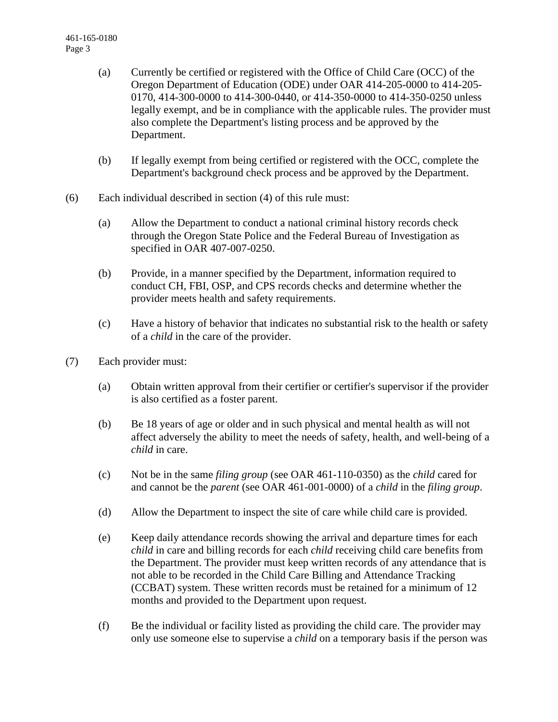- (a) Currently be certified or registered with the Office of Child Care (OCC) of the Oregon Department of Education (ODE) under OAR 414-205-0000 to 414-205- 0170, 414-300-0000 to 414-300-0440, or 414-350-0000 to 414-350-0250 unless legally exempt, and be in compliance with the applicable rules. The provider must also complete the Department's listing process and be approved by the Department.
- (b) If legally exempt from being certified or registered with the OCC, complete the Department's background check process and be approved by the Department.
- (6) Each individual described in section (4) of this rule must:
	- (a) Allow the Department to conduct a national criminal history records check through the Oregon State Police and the Federal Bureau of Investigation as specified in OAR 407-007-0250.
	- (b) Provide, in a manner specified by the Department, information required to conduct CH, FBI, OSP, and CPS records checks and determine whether the provider meets health and safety requirements.
	- (c) Have a history of behavior that indicates no substantial risk to the health or safety of a *child* in the care of the provider.
- (7) Each provider must:
	- (a) Obtain written approval from their certifier or certifier's supervisor if the provider is also certified as a foster parent.
	- (b) Be 18 years of age or older and in such physical and mental health as will not affect adversely the ability to meet the needs of safety, health, and well-being of a *child* in care.
	- (c) Not be in the same *filing group* (see OAR 461-110-0350) as the *child* cared for and cannot be the *parent* (see OAR 461-001-0000) of a *child* in the *filing group*.
	- (d) Allow the Department to inspect the site of care while child care is provided.
	- (e) Keep daily attendance records showing the arrival and departure times for each *child* in care and billing records for each *child* receiving child care benefits from the Department. The provider must keep written records of any attendance that is not able to be recorded in the Child Care Billing and Attendance Tracking (CCBAT) system. These written records must be retained for a minimum of 12 months and provided to the Department upon request.
	- (f) Be the individual or facility listed as providing the child care. The provider may only use someone else to supervise a *child* on a temporary basis if the person was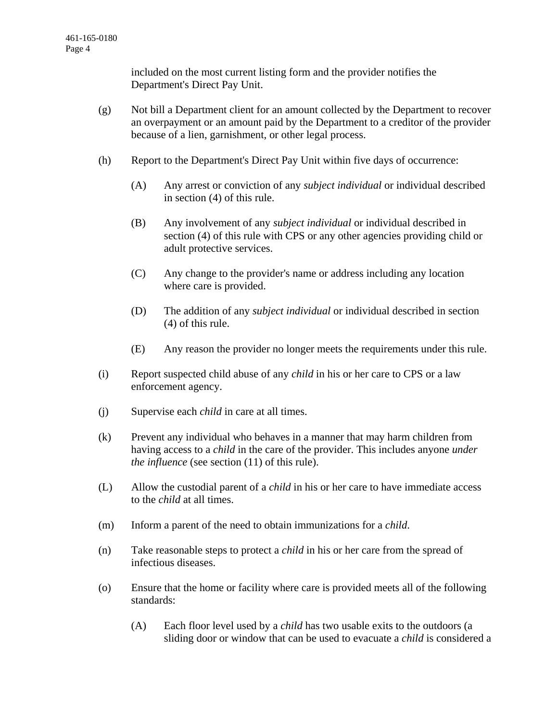included on the most current listing form and the provider notifies the Department's Direct Pay Unit.

- (g) Not bill a Department client for an amount collected by the Department to recover an overpayment or an amount paid by the Department to a creditor of the provider because of a lien, garnishment, or other legal process.
- (h) Report to the Department's Direct Pay Unit within five days of occurrence:
	- (A) Any arrest or conviction of any *subject individual* or individual described in section (4) of this rule.
	- (B) Any involvement of any *subject individual* or individual described in section (4) of this rule with CPS or any other agencies providing child or adult protective services.
	- (C) Any change to the provider's name or address including any location where care is provided.
	- (D) The addition of any *subject individual* or individual described in section (4) of this rule.
	- (E) Any reason the provider no longer meets the requirements under this rule.
- (i) Report suspected child abuse of any *child* in his or her care to CPS or a law enforcement agency.
- (j) Supervise each *child* in care at all times.
- (k) Prevent any individual who behaves in a manner that may harm children from having access to a *child* in the care of the provider. This includes anyone *under the influence* (see section (11) of this rule).
- (L) Allow the custodial parent of a *child* in his or her care to have immediate access to the *child* at all times.
- (m) Inform a parent of the need to obtain immunizations for a *child*.
- (n) Take reasonable steps to protect a *child* in his or her care from the spread of infectious diseases.
- (o) Ensure that the home or facility where care is provided meets all of the following standards:
	- (A) Each floor level used by a *child* has two usable exits to the outdoors (a sliding door or window that can be used to evacuate a *child* is considered a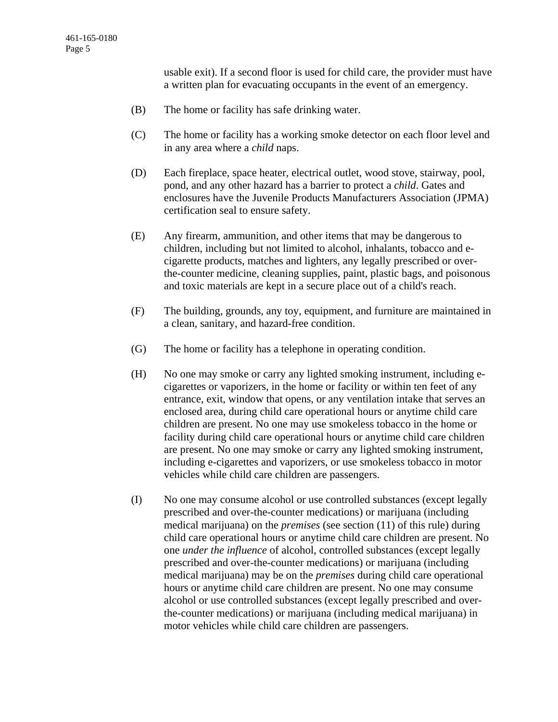usable exit). If a second floor is used for child care, the provider must have a written plan for evacuating occupants in the event of an emergency.

- (B) The home or facility has safe drinking water.
- (C) The home or facility has a working smoke detector on each floor level and in any area where a *child* naps.
- (D) Each fireplace, space heater, electrical outlet, wood stove, stairway, pool, pond, and any other hazard has a barrier to protect a *child*. Gates and enclosures have the Juvenile Products Manufacturers Association (JPMA) certification seal to ensure safety.
- (E) Any firearm, ammunition, and other items that may be dangerous to children, including but not limited to alcohol, inhalants, tobacco and ecigarette products, matches and lighters, any legally prescribed or overthe-counter medicine, cleaning supplies, paint, plastic bags, and poisonous and toxic materials are kept in a secure place out of a child's reach.
- (F) The building, grounds, any toy, equipment, and furniture are maintained in a clean, sanitary, and hazard-free condition.
- (G) The home or facility has a telephone in operating condition.
- (H) No one may smoke or carry any lighted smoking instrument, including ecigarettes or vaporizers, in the home or facility or within ten feet of any entrance, exit, window that opens, or any ventilation intake that serves an enclosed area, during child care operational hours or anytime child care children are present. No one may use smokeless tobacco in the home or facility during child care operational hours or anytime child care children are present. No one may smoke or carry any lighted smoking instrument, including e-cigarettes and vaporizers, or use smokeless tobacco in motor vehicles while child care children are passengers.
- (I) No one may consume alcohol or use controlled substances (except legally prescribed and over-the-counter medications) or marijuana (including medical marijuana) on the *premises* (see section (11) of this rule) during child care operational hours or anytime child care children are present. No one *under the influence* of alcohol, controlled substances (except legally prescribed and over-the-counter medications) or marijuana (including medical marijuana) may be on the *premises* during child care operational hours or anytime child care children are present. No one may consume alcohol or use controlled substances (except legally prescribed and overthe-counter medications) or marijuana (including medical marijuana) in motor vehicles while child care children are passengers.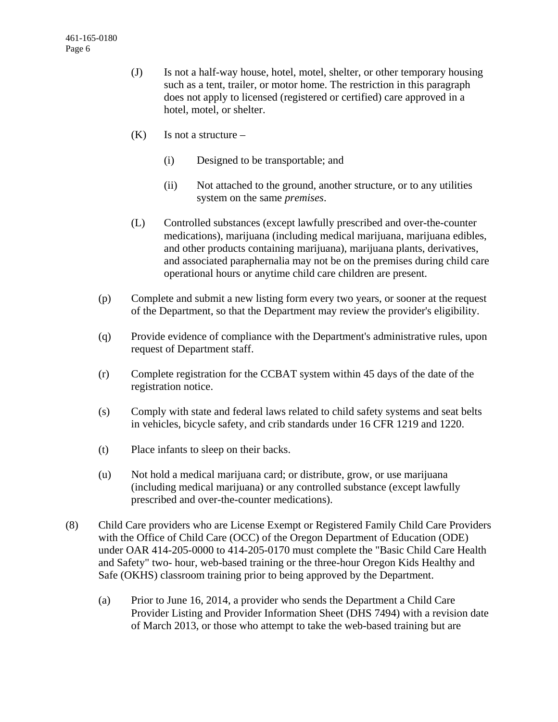- (J) Is not a half-way house, hotel, motel, shelter, or other temporary housing such as a tent, trailer, or motor home. The restriction in this paragraph does not apply to licensed (registered or certified) care approved in a hotel, motel, or shelter.
- $(K)$  Is not a structure
	- (i) Designed to be transportable; and
	- (ii) Not attached to the ground, another structure, or to any utilities system on the same *premises*.
- (L) Controlled substances (except lawfully prescribed and over-the-counter medications), marijuana (including medical marijuana, marijuana edibles, and other products containing marijuana), marijuana plants, derivatives, and associated paraphernalia may not be on the premises during child care operational hours or anytime child care children are present.
- (p) Complete and submit a new listing form every two years, or sooner at the request of the Department, so that the Department may review the provider's eligibility.
- (q) Provide evidence of compliance with the Department's administrative rules, upon request of Department staff.
- (r) Complete registration for the CCBAT system within 45 days of the date of the registration notice.
- (s) Comply with state and federal laws related to child safety systems and seat belts in vehicles, bicycle safety, and crib standards under 16 CFR 1219 and 1220.
- (t) Place infants to sleep on their backs.
- (u) Not hold a medical marijuana card; or distribute, grow, or use marijuana (including medical marijuana) or any controlled substance (except lawfully prescribed and over-the-counter medications).
- (8) Child Care providers who are License Exempt or Registered Family Child Care Providers with the Office of Child Care (OCC) of the Oregon Department of Education (ODE) under OAR 414-205-0000 to 414-205-0170 must complete the "Basic Child Care Health and Safety" two- hour, web-based training or the three-hour Oregon Kids Healthy and Safe (OKHS) classroom training prior to being approved by the Department.
	- (a) Prior to June 16, 2014, a provider who sends the Department a Child Care Provider Listing and Provider Information Sheet (DHS 7494) with a revision date of March 2013, or those who attempt to take the web-based training but are